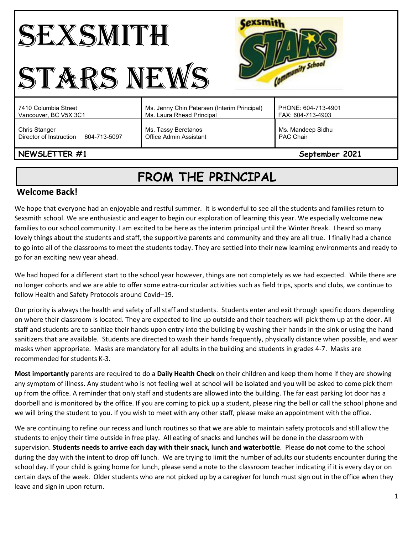| <b>School</b><br><b>ARS NEV</b>                                 |                                                                          |                                          |
|-----------------------------------------------------------------|--------------------------------------------------------------------------|------------------------------------------|
| 7410 Columbia Street<br>Vancouver, BC V5X 3C1                   | Ms. Jenny Chin Petersen (Interim Principal)<br>Ms. Laura Rhead Principal | PHONE: 604-713-4901<br>FAX: 604-713-4903 |
| <b>Chris Stanger</b><br>Director of Instruction<br>604-713-5097 | Ms. Tassy Beretanos<br>Office Admin Assistant                            | Ms. Mandeep Sidhu<br><b>PAC Chair</b>    |
| NEWSLETTER #1<br>September 2021                                 |                                                                          |                                          |

# **FROM THE PRINCIPAL**

#### **Welcome Back!**

We hope that everyone had an enjoyable and restful summer. It is wonderful to see all the students and families return to Sexsmith school. We are enthusiastic and eager to begin our exploration of learning this year. We especially welcome new families to our school community. I am excited to be here as the interim principal until the Winter Break. I heard so many lovely things about the students and staff, the supportive parents and community and they are all true. I finally had a chance to go into all of the classrooms to meet the students today. They are settled into their new learning environments and ready to go for an exciting new year ahead.

We had hoped for a different start to the school year however, things are not completely as we had expected. While there are no longer cohorts and we are able to offer some extra-curricular activities such as field trips, sports and clubs, we continue to follow Health and Safety Protocols around Covid–19.

Our priority is always the health and safety of all staff and students. Students enter and exit through specific doors depending on where their classroom is located. They are expected to line up outside and their teachers will pick them up at the door. All staff and students are to sanitize their hands upon entry into the building by washing their hands in the sink or using the hand sanitizers that are available. Students are directed to wash their hands frequently, physically distance when possible, and wear masks when appropriate. Masks are mandatory for all adults in the building and students in grades 4-7. Masks are recommended for students K-3.

**Most importantly** parents are required to do a **Daily Health Check** on their children and keep them home if they are showing any symptom of illness. Any student who is not feeling well at school will be isolated and you will be asked to come pick them up from the office. A reminder that only staff and students are allowed into the building. The far east parking lot door has a doorbell and is monitored by the office. If you are coming to pick up a student, please ring the bell or call the school phone and we will bring the student to you. If you wish to meet with any other staff, please make an appointment with the office.

We are continuing to refine our recess and lunch routines so that we are able to maintain safety protocols and still allow the students to enjoy their time outside in free play. All eating of snacks and lunches will be done in the classroom with supervision. **Students needs to arrive each day with their snack, lunch and waterbottle**. Please **do not** come to the school during the day with the intent to drop off lunch. We are trying to limit the number of adults our students encounter during the school day. If your child is going home for lunch, please send a note to the classroom teacher indicating if it is every day or on certain days of the week. Older students who are not picked up by a caregiver for lunch must sign out in the office when they leave and sign in upon return.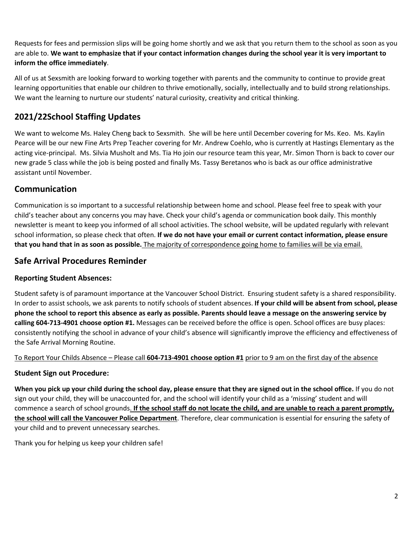Requests for fees and permission slips will be going home shortly and we ask that you return them to the school as soon as you are able to. **We want to emphasize that if your contact information changes during the school year it is very important to inform the office immediately**.

All of us at Sexsmith are looking forward to working together with parents and the community to continue to provide great learning opportunities that enable our children to thrive emotionally, socially, intellectually and to build strong relationships. We want the learning to nurture our students' natural curiosity, creativity and critical thinking.

## **2021/22School Staffing Updates**

We want to welcome Ms. Haley Cheng back to Sexsmith. She will be here until December covering for Ms. Keo. Ms. Kaylin Pearce will be our new Fine Arts Prep Teacher covering for Mr. Andrew Coehlo, who is currently at Hastings Elementary as the acting vice-principal. Ms. Silvia Musholt and Ms. Tia Ho join our resource team this year, Mr. Simon Thorn is back to cover our new grade 5 class while the job is being posted and finally Ms. Tassy Beretanos who is back as our office administrative assistant until November.

### **Communication**

Communication is so important to a successful relationship between home and school. Please feel free to speak with your child's teacher about any concerns you may have. Check your child's agenda or communication book daily. This monthly newsletter is meant to keep you informed of all school activities. The school website, will be updated regularly with relevant school information, so please check that often. **If we do not have your email or current contact information, please ensure that you hand that in as soon as possible.** The majority of correspondence going home to families will be via email.

### **Safe Arrival Procedures Reminder**

#### **Reporting Student Absences:**

Student safety is of paramount importance at the Vancouver School District. Ensuring student safety is a shared responsibility. In order to assist schools, we ask parents to notify schools of student absences. **If your child will be absent from school, please phone the school to report this absence as early as possible. Parents should leave a message on the answering service by calling 604-713-4901 choose option #1.** Messages can be received before the office is open. School offices are busy places: consistently notifying the school in advance of your child's absence will significantly improve the efficiency and effectiveness of the Safe Arrival Morning Routine.

#### To Report Your Childs Absence – Please call **604-713-4901 choose option #1** prior to 9 am on the first day of the absence

#### **Student Sign out Procedure:**

**When you pick up your child during the school day, please ensure that they are signed out in the school office.** If you do not sign out your child, they will be unaccounted for, and the school will identify your child as a 'missing' student and will commence a search of school grounds. **If the school staff do not locate the child, and are unable to reach a parent promptly, the school will call the Vancouver Police Department**. Therefore, clear communication is essential for ensuring the safety of your child and to prevent unnecessary searches.

Thank you for helping us keep your children safe!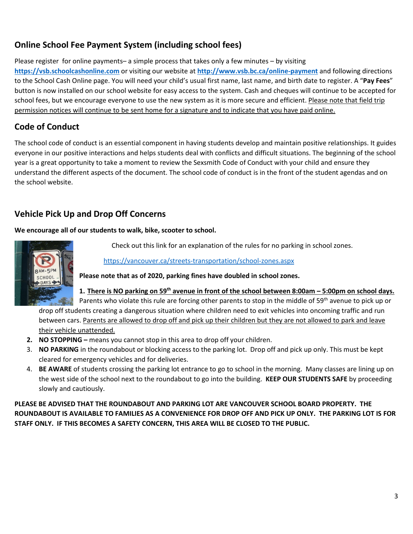# **Online School Fee Payment System (including school fees)**

Please register for online payments– a simple process that takes only a few minutes – by visiting

**[https://vsb.schoolcashonline.com](https://vsb.schoolcashonline.com/)** or visiting our website at **<http://www.vsb.bc.ca/online-payment>** and following directions to the School Cash Online page. You will need your child's usual first name, last name, and birth date to register. A "**Pay Fees**" button is now installed on our school website for easy access to the system. Cash and cheques will continue to be accepted for school fees, but we encourage everyone to use the new system as it is more secure and efficient. Please note that field trip permission notices will continue to be sent home for a signature and to indicate that you have paid online.

### **Code of Conduct**

The school code of conduct is an essential component in having students develop and maintain positive relationships. It guides everyone in our positive interactions and helps students deal with conflicts and difficult situations. The beginning of the school year is a great opportunity to take a moment to review the Sexsmith Code of Conduct with your child and ensure they understand the different aspects of the document. The school code of conduct is in the front of the student agendas and on the school website.

# **Vehicle Pick Up and Drop Off Concerns**

**We encourage all of our students to walk, bike, scooter to school.**



Check out this link for an explanation of the rules for no parking in school zones.

<https://vancouver.ca/streets-transportation/school-zones.aspx>

**Please note that as of 2020, parking fines have doubled in school zones.** 

**1. There is NO parking on 59th avenue in front of the school between 8:00am – 5:00pm on school days.**

Parents who violate this rule are forcing other parents to stop in the middle of 59<sup>th</sup> avenue to pick up or drop off students creating a dangerous situation where children need to exit vehicles into oncoming traffic and run between cars. Parents are allowed to drop off and pick up their children but they are not allowed to park and leave their vehicle unattended.

- **2. NO STOPPING –** means you cannot stop in this area to drop off your children.
- 3. **NO PARKING** in the roundabout or blocking access to the parking lot. Drop off and pick up only. This must be kept cleared for emergency vehicles and for deliveries.
- 4. **BE AWARE** of students crossing the parking lot entrance to go to school in the morning. Many classes are lining up on the west side of the school next to the roundabout to go into the building. **KEEP OUR STUDENTS SAFE** by proceeding slowly and cautiously.

**PLEASE BE ADVISED THAT THE ROUNDABOUT AND PARKING LOT ARE VANCOUVER SCHOOL BOARD PROPERTY. THE ROUNDABOUT IS AVAILABLE TO FAMILIES AS A CONVENIENCE FOR DROP OFF AND PICK UP ONLY. THE PARKING LOT IS FOR STAFF ONLY. IF THIS BECOMES A SAFETY CONCERN, THIS AREA WILL BE CLOSED TO THE PUBLIC.**